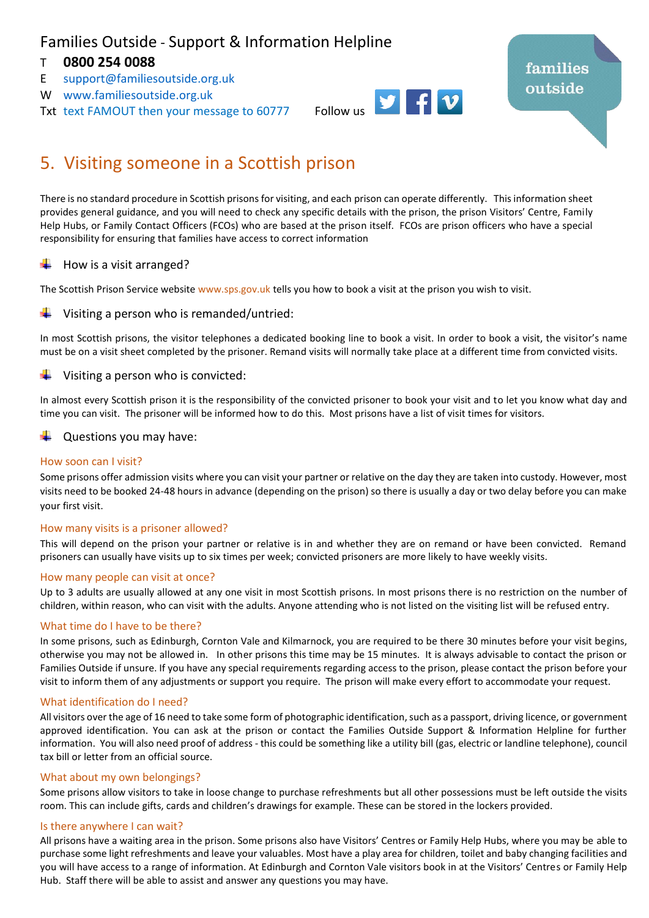## Families Outside - Support & Information Helpline

### T **0800 254 0088**

- E [support@familiesoutside.org.uk](mailto:support@familiesoutside.org.uk)
- W [www.familiesoutside.org.uk](http://www.familiesoutside.org.uk/)
- 



# 5. Visiting someone in a Scottish prison

There is no standard procedure in Scottish prisons for visiting, and each prison can operate differently. This information sheet provides general guidance, and you will need to check any specific details with the prison, the prison Visitors' Centre, Family Help Hubs, or Family Contact Officers (FCOs) who are based at the prison itself. FCOs are prison officers who have a special responsibility for ensuring that families have access to correct information

#### How is a visit arranged?

The Scottish Prison Service website [www.sps.gov.uk](http://www.sps.gov.uk/) tells you how to book a visit at the prison you wish to visit.

#### Visiting a person who is remanded/untried:

In most Scottish prisons, the visitor telephones a dedicated booking line to book a visit. In order to book a visit, the visitor's name must be on a visit sheet completed by the prisoner. Remand visits will normally take place at a different time from convicted visits.

#### Visiting a person who is convicted:

In almost every Scottish prison it is the responsibility of the convicted prisoner to book your visit and to let you know what day and time you can visit. The prisoner will be informed how to do this. Most prisons have a list of visit times for visitors.

Questions you may have:

#### How soon can I visit?

Some prisons offer admission visits where you can visit your partner or relative on the day they are taken into custody. However, most visits need to be booked 24-48 hours in advance (depending on the prison) so there is usually a day or two delay before you can make your first visit.

#### How many visits is a prisoner allowed?

This will depend on the prison your partner or relative is in and whether they are on remand or have been convicted. Remand prisoners can usually have visits up to six times per week; convicted prisoners are more likely to have weekly visits.

#### How many people can visit at once?

Up to 3 adults are usually allowed at any one visit in most Scottish prisons. In most prisons there is no restriction on the number of children, within reason, who can visit with the adults. Anyone attending who is not listed on the visiting list will be refused entry.

#### What time do I have to be there?

In some prisons, such as Edinburgh, Cornton Vale and Kilmarnock, you are required to be there 30 minutes before your visit begins, otherwise you may not be allowed in. In other prisons this time may be 15 minutes. It is always advisable to contact the prison or Families Outside if unsure. If you have any special requirements regarding access to the prison, please contact the prison before your visit to inform them of any adjustments or support you require. The prison will make every effort to accommodate your request.

#### What identification do I need?

All visitors over the age of 16 need to take some form of photographic identification, such as a passport, driving licence, or government approved identification. You can ask at the prison or contact the Families Outside Support & Information Helpline for further information. You will also need proof of address - this could be something like a utility bill (gas, electric or landline telephone), council tax bill or letter from an official source.

#### What about my own belongings?

Some prisons allow visitors to take in loose change to purchase refreshments but all other possessions must be left outside the visits room. This can include gifts, cards and children's drawings for example. These can be stored in the lockers provided.

#### Is there anywhere I can wait?

All prisons have a waiting area in the prison. Some prisons also have Visitors' Centres or Family Help Hubs, where you may be able to purchase some light refreshments and leave your valuables. Most have a play area for children, toilet and baby changing facilities and you will have access to a range of information. At Edinburgh and Cornton Vale visitors book in at the Visitors' Centres or Family Help Hub. Staff there will be able to assist and answer any questions you may have.